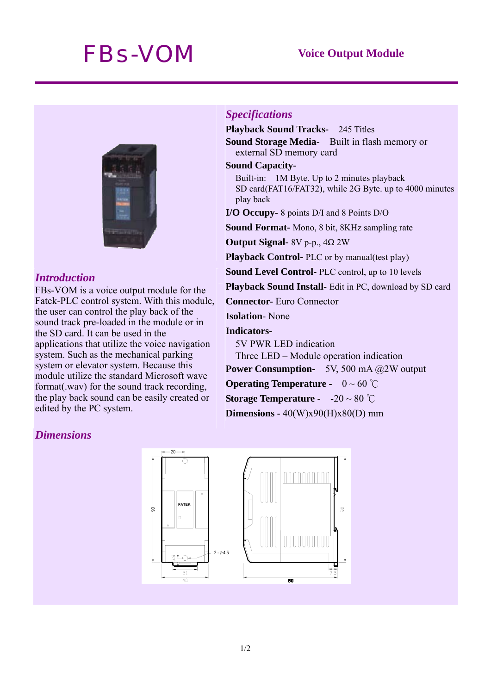# *FBs-VOM* **Voice Output Module**



### *Introduction*

FBs-VOM is a voice output module for the Fatek-PLC control system. With this module, the user can control the play back of the sound track pre-loaded in the module or in the SD card. It can be used in the applications that utilize the voice navigation system. Such as the mechanical parking system or elevator system. Because this module utilize the standard Microsoft wave format(.wav) for the sound track recording, the play back sound can be easily created or edited by the PC system.

# *Specifications*

**Playback Sound Tracks-** 245 Titles **Sound Storage Media**- Built in flash memory or external SD memory card

### **Sound Capacity-**

Built-in: 1M Byte. Up to 2 minutes playback SD card(FAT16/FAT32), while 2G Byte. up to 4000 minutes play back

**I/O Occupy-** 8 points D/I and 8 Points D/O

**Sound Format-** Mono, 8 bit, 8KHz sampling rate

**Output Signal-** 8V p-p., 4Ω 2W

**Playback Control-** PLC or by manual(test play)

**Sound Level Control-** PLC control, up to 10 levels

**Playback Sound Install-** Edit in PC, download by SD card

**Connector-** Euro Connector

**Isolation**- None

**Indicators-**

5V PWR LED indication

Three LED – Module operation indication

**Power Consumption-** 5V, 500 mA @2W output

**Operating Temperature -** 0 ~ 60 ℃

**Storage Temperature -** -20 ~ 80 ℃

**Dimensions** - 40(W)x90(H)x80(D) mm

# *Dimensions*